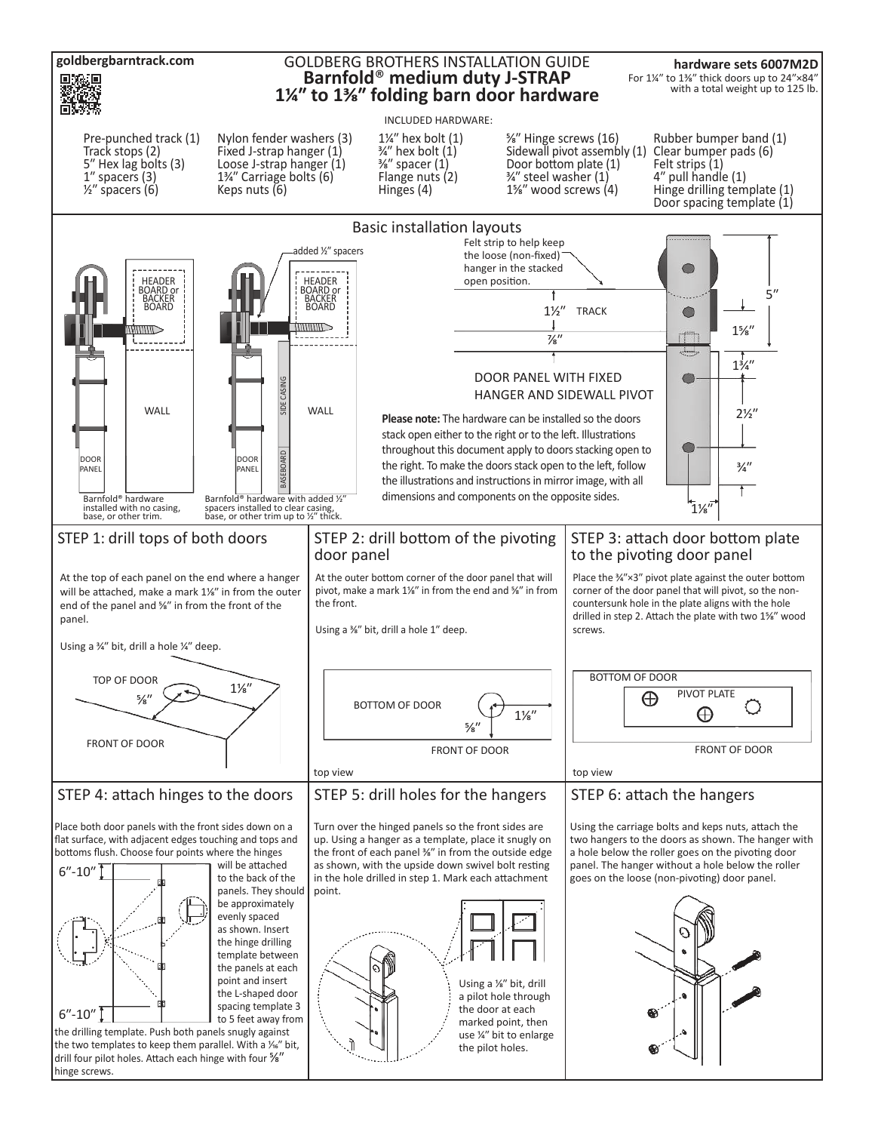